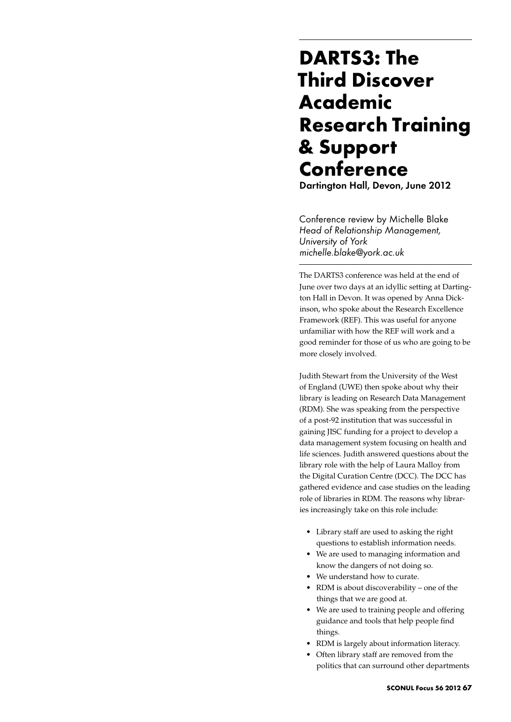## **DARTS3: The Third Discover Academic Research Training & Support Conference**

Dartington Hall, Devon, June 2012

Conference review by Michelle Blake *Head of Relationship Management, University of York michelle.blake@york.ac.uk*

The DARTS3 conference was held at the end of June over two days at an idyllic setting at Dartington Hall in Devon. It was opened by Anna Dickinson, who spoke about the Research Excellence Framework (REF). This was useful for anyone unfamiliar with how the REF will work and a good reminder for those of us who are going to be more closely involved.

Judith Stewart from the University of the West of England (UWE) then spoke about why their library is leading on Research Data Management (RDM). She was speaking from the perspective of a post-92 institution that was successful in gaining JISC funding for a project to develop a data management system focusing on health and life sciences. Judith answered questions about the library role with the help of Laura Malloy from the Digital Curation Centre (DCC). The DCC has gathered evidence and case studies on the leading role of libraries in RDM. The reasons why libraries increasingly take on this role include:

- • Library staff are used to asking the right questions to establish information needs.
- • We are used to managing information and know the dangers of not doing so.
- We understand how to curate.
- RDM is about discoverability one of the things that we are good at.
- We are used to training people and offering guidance and tools that help people find things.
- • RDM is largely about information literacy.
- Often library staff are removed from the politics that can surround other departments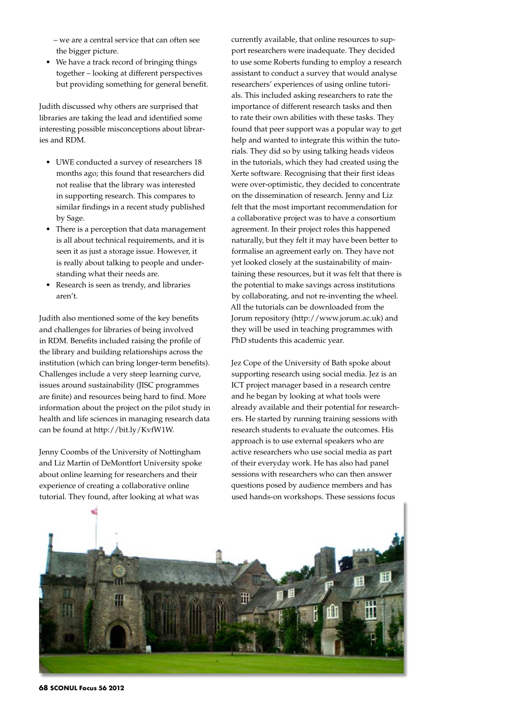– we are a central service that can often see the bigger picture.

• We have a track record of bringing things together – looking at different perspectives but providing something for general benefit.

Judith discussed why others are surprised that libraries are taking the lead and identified some interesting possible misconceptions about libraries and RDM.

- • UWE conducted a survey of researchers 18 months ago; this found that researchers did not realise that the library was interested in supporting research. This compares to similar findings in a recent study published by Sage.
- There is a perception that data management is all about technical requirements, and it is seen it as just a storage issue. However, it is really about talking to people and understanding what their needs are.
- Research is seen as trendy, and libraries aren't.

Judith also mentioned some of the key benefits and challenges for libraries of being involved in RDM. Benefits included raising the profile of the library and building relationships across the institution (which can bring longer-term benefits). Challenges include a very steep learning curve, issues around sustainability (JISC programmes are finite) and resources being hard to find. More information about the project on the pilot study in health and life sciences in managing research data can be found at http://bit.ly/KvfW1W.

Jenny Coombs of the University of Nottingham and Liz Martin of DeMontfort University spoke about online learning for researchers and their experience of creating a collaborative online tutorial. They found, after looking at what was

currently available, that online resources to support researchers were inadequate. They decided to use some Roberts funding to employ a research assistant to conduct a survey that would analyse researchers' experiences of using online tutorials. This included asking researchers to rate the importance of different research tasks and then to rate their own abilities with these tasks. They found that peer support was a popular way to get help and wanted to integrate this within the tutorials. They did so by using talking heads videos in the tutorials, which they had created using the Xerte software. Recognising that their first ideas were over-optimistic, they decided to concentrate on the dissemination of research. Jenny and Liz felt that the most important recommendation for a collaborative project was to have a consortium agreement. In their project roles this happened naturally, but they felt it may have been better to formalise an agreement early on. They have not yet looked closely at the sustainability of maintaining these resources, but it was felt that there is the potential to make savings across institutions by collaborating, and not re-inventing the wheel. All the tutorials can be downloaded from the Jorum repository (http://www.jorum.ac.uk) and they will be used in teaching programmes with PhD students this academic year.

Jez Cope of the University of Bath spoke about supporting research using social media. Jez is an ICT project manager based in a research centre and he began by looking at what tools were already available and their potential for researchers. He started by running training sessions with research students to evaluate the outcomes. His approach is to use external speakers who are active researchers who use social media as part of their everyday work. He has also had panel sessions with researchers who can then answer questions posed by audience members and has used hands-on workshops. These sessions focus



**68 SCONUL Focus 56 2012**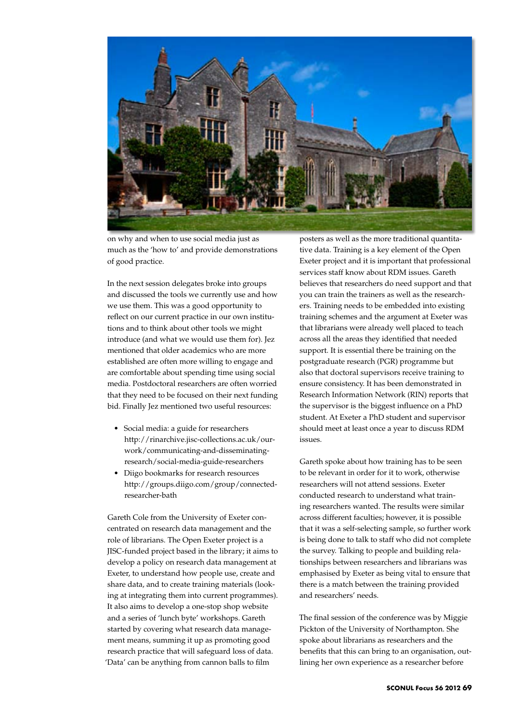

on why and when to use social media just as much as the 'how to' and provide demonstrations of good practice.

In the next session delegates broke into groups and discussed the tools we currently use and how we use them. This was a good opportunity to reflect on our current practice in our own institutions and to think about other tools we might introduce (and what we would use them for). Jez mentioned that older academics who are more established are often more willing to engage and are comfortable about spending time using social media. Postdoctoral researchers are often worried that they need to be focused on their next funding bid. Finally Jez mentioned two useful resources:

- Social media: a guide for researchers http://rinarchive.jisc-collections.ac.uk/ourwork/communicating-and-disseminatingresearch/social-media-guide-researchers
- • Diigo bookmarks for research resources http://groups.diigo.com/group/connectedresearcher-bath

Gareth Cole from the University of Exeter concentrated on research data management and the role of librarians. The Open Exeter project is a JISC-funded project based in the library; it aims to develop a policy on research data management at Exeter, to understand how people use, create and share data, and to create training materials (looking at integrating them into current programmes). It also aims to develop a one-stop shop website and a series of 'lunch byte' workshops. Gareth started by covering what research data management means, summing it up as promoting good research practice that will safeguard loss of data. 'Data' can be anything from cannon balls to film

posters as well as the more traditional quantitative data. Training is a key element of the Open Exeter project and it is important that professional services staff know about RDM issues. Gareth believes that researchers do need support and that you can train the trainers as well as the researchers. Training needs to be embedded into existing training schemes and the argument at Exeter was that librarians were already well placed to teach across all the areas they identified that needed support. It is essential there be training on the postgraduate research (PGR) programme but also that doctoral supervisors receive training to ensure consistency. It has been demonstrated in Research Information Network (RIN) reports that the supervisor is the biggest influence on a PhD student. At Exeter a PhD student and supervisor should meet at least once a year to discuss RDM issues.

Gareth spoke about how training has to be seen to be relevant in order for it to work, otherwise researchers will not attend sessions. Exeter conducted research to understand what training researchers wanted. The results were similar across different faculties; however, it is possible that it was a self-selecting sample, so further work is being done to talk to staff who did not complete the survey. Talking to people and building relationships between researchers and librarians was emphasised by Exeter as being vital to ensure that there is a match between the training provided and researchers' needs.

The final session of the conference was by Miggie Pickton of the University of Northampton. She spoke about librarians as researchers and the benefits that this can bring to an organisation, outlining her own experience as a researcher before